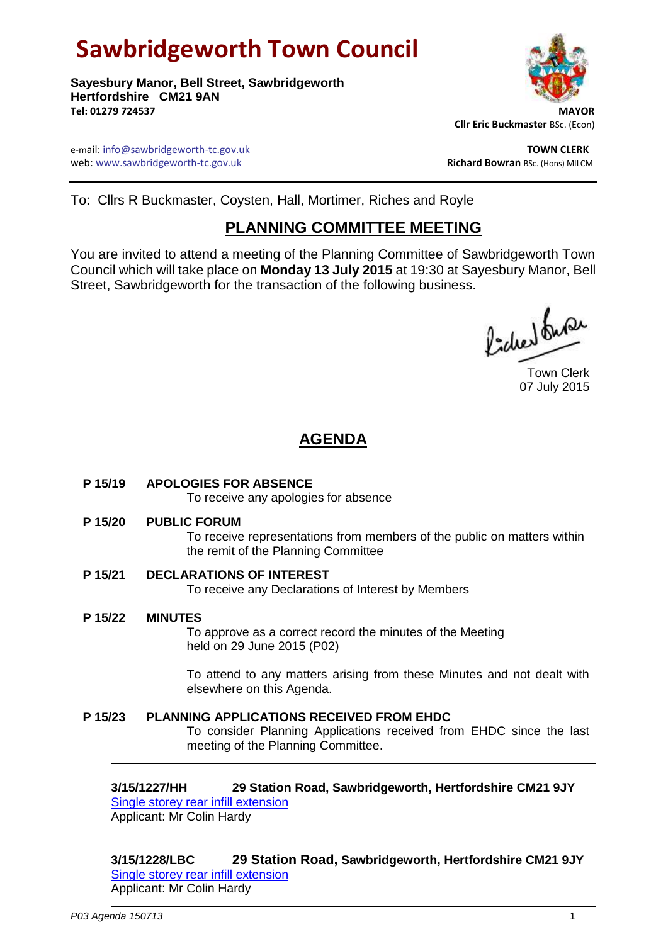# **Sawbridgeworth Town Council**

**Sayesbury Manor, Bell Street, Sawbridgeworth Hertfordshire CM21 9AN Tel: 01279 724537 MAYOR**



 **Cllr Eric Buckmaster** BSc. (Econ)

e-mail: info@sawbridgeworth-tc.gov.uk **TOWN CLERK** web: www.sawbridgeworth-tc.gov.uk<br> **Richard Bowran** BSc. (Hons) MILCM

To: Cllrs R Buckmaster, Coysten, Hall, Mortimer, Riches and Royle

# **PLANNING COMMITTEE MEETING**

You are invited to attend a meeting of the Planning Committee of Sawbridgeworth Town Council which will take place on **Monday 13 July 2015** at 19:30 at Sayesbury Manor, Bell Street, Sawbridgeworth for the transaction of the following business.

Picked fune

Town Clerk 07 July 2015

# **AGENDA**

**P 15/19 APOLOGIES FOR ABSENCE**

To receive any apologies for absence

**P 15/20 PUBLIC FORUM**

To receive representations from members of the public on matters within the remit of the Planning Committee

**P 15/21 DECLARATIONS OF INTEREST**

To receive any Declarations of Interest by Members

**P 15/22 MINUTES** To approve as a correct record the minutes of the Meeting held on 29 June 2015 (P02)

> To attend to any matters arising from these Minutes and not dealt with elsewhere on this Agenda.

### **P 15/23 PLANNING APPLICATIONS RECEIVED FROM EHDC**

To consider Planning Applications received from EHDC since the last meeting of the Planning Committee.

**3/15/1227/HH 29 Station Road, Sawbridgeworth, Hertfordshire CM21 9JY** [Single storey rear infill extension](https://publicaccess.eastherts.gov.uk/online-applications/applicationDetails.do?activeTab=summary&keyVal=NPQHP5GLGCZ00)

Applicant: Mr Colin Hardy

**3/15/1228/LBC 29 Station Road, Sawbridgeworth, Hertfordshire CM21 9JY** [Single storey rear infill extension](https://publicaccess.eastherts.gov.uk/online-applications/applicationDetails.do?activeTab=summary&keyVal=NPQHP7GLGD000)  Applicant: Mr Colin Hardy